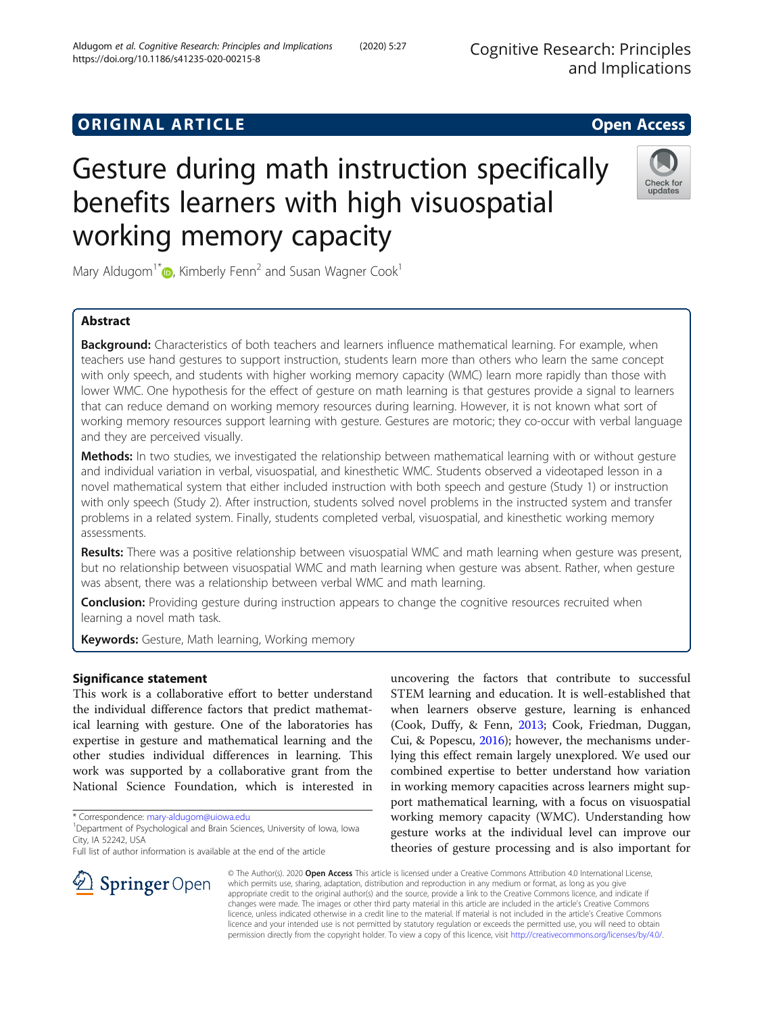# **ORIGINAL ARTICLE CONSERVANCE IN A LOCAL CONSERVANCE IN A LOCAL CONSERVANCE IN A LOCAL CONSERVANCE IN A LOCAL CONS**

# Gesture during math instruction specifically benefits learners with high visuospatial working memory capacity

Mary Aldugom<sup>1\*</sup> $\bullet$ [,](http://orcid.org/0000-0001-5695-3925) Kimberly Fenn<sup>2</sup> and Susan Wagner Cook<sup>1</sup>

# Abstract

Background: Characteristics of both teachers and learners influence mathematical learning. For example, when teachers use hand gestures to support instruction, students learn more than others who learn the same concept with only speech, and students with higher working memory capacity (WMC) learn more rapidly than those with lower WMC. One hypothesis for the effect of gesture on math learning is that gestures provide a signal to learners that can reduce demand on working memory resources during learning. However, it is not known what sort of working memory resources support learning with gesture. Gestures are motoric; they co-occur with verbal language and they are perceived visually.

Methods: In two studies, we investigated the relationship between mathematical learning with or without gesture and individual variation in verbal, visuospatial, and kinesthetic WMC. Students observed a videotaped lesson in a novel mathematical system that either included instruction with both speech and gesture (Study 1) or instruction with only speech (Study 2). After instruction, students solved novel problems in the instructed system and transfer problems in a related system. Finally, students completed verbal, visuospatial, and kinesthetic working memory assessments.

Results: There was a positive relationship between visuospatial WMC and math learning when gesture was present, but no relationship between visuospatial WMC and math learning when gesture was absent. Rather, when gesture was absent, there was a relationship between verbal WMC and math learning.

**Conclusion:** Providing gesture during instruction appears to change the cognitive resources recruited when learning a novel math task.

Keywords: Gesture, Math learning, Working memory

# Significance statement

This work is a collaborative effort to better understand the individual difference factors that predict mathematical learning with gesture. One of the laboratories has expertise in gesture and mathematical learning and the other studies individual differences in learning. This work was supported by a collaborative grant from the National Science Foundation, which is interested in

\* Correspondence: [mary-aldugom@uiowa.edu](mailto:mary-aldugom@uiowa.edu) <sup>1</sup>

SpringerOpen

Full list of author information is available at the end of the article

uncovering the factors that contribute to successful STEM learning and education. It is well-established that when learners observe gesture, learning is enhanced (Cook, Duffy, & Fenn, [2013;](#page-10-0) Cook, Friedman, Duggan, Cui, & Popescu, [2016](#page-10-0)); however, the mechanisms underlying this effect remain largely unexplored. We used our combined expertise to better understand how variation in working memory capacities across learners might support mathematical learning, with a focus on visuospatial working memory capacity (WMC). Understanding how gesture works at the individual level can improve our theories of gesture processing and is also important for

© The Author(s). 2020 Open Access This article is licensed under a Creative Commons Attribution 4.0 International License, which permits use, sharing, adaptation, distribution and reproduction in any medium or format, as long as you give appropriate credit to the original author(s) and the source, provide a link to the Creative Commons licence, and indicate if changes were made. The images or other third party material in this article are included in the article's Creative Commons licence, unless indicated otherwise in a credit line to the material. If material is not included in the article's Creative Commons licence and your intended use is not permitted by statutory regulation or exceeds the permitted use, you will need to obtain permission directly from the copyright holder. To view a copy of this licence, visit <http://creativecommons.org/licenses/by/4.0/>.





<sup>&</sup>lt;sup>1</sup> Department of Psychological and Brain Sciences, University of Iowa, Iowa City, IA 52242, USA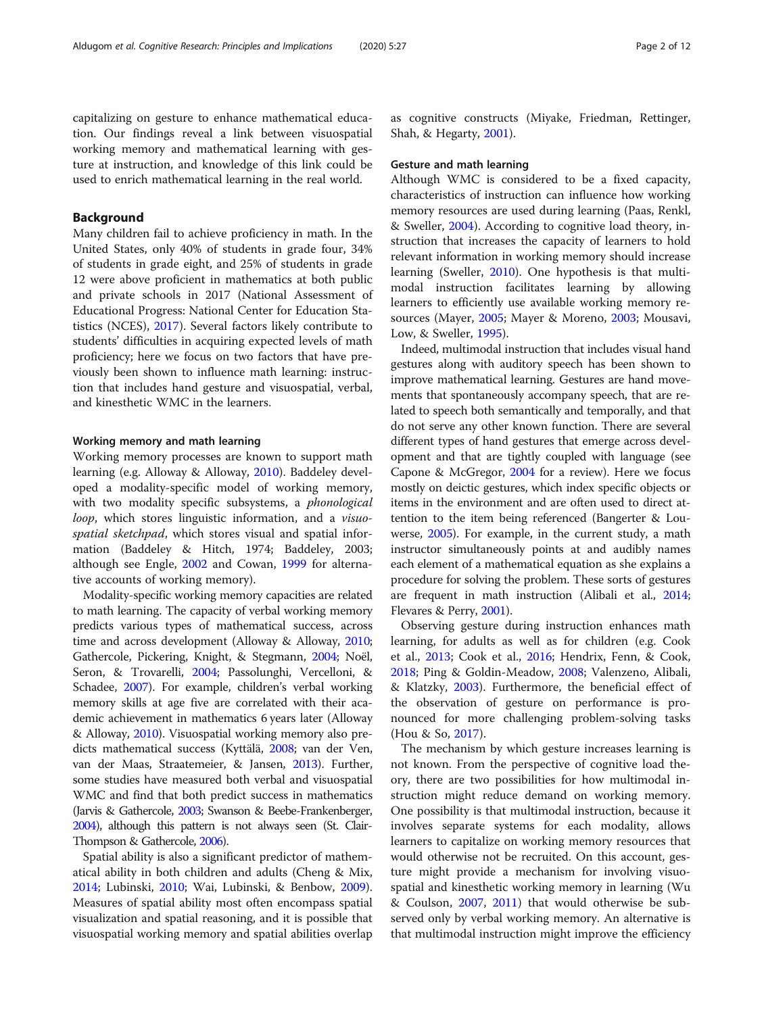capitalizing on gesture to enhance mathematical education. Our findings reveal a link between visuospatial working memory and mathematical learning with gesture at instruction, and knowledge of this link could be used to enrich mathematical learning in the real world.

## Background

Many children fail to achieve proficiency in math. In the United States, only 40% of students in grade four, 34% of students in grade eight, and 25% of students in grade 12 were above proficient in mathematics at both public and private schools in 2017 (National Assessment of Educational Progress: National Center for Education Statistics (NCES), [2017\)](#page-10-0). Several factors likely contribute to students' difficulties in acquiring expected levels of math proficiency; here we focus on two factors that have previously been shown to influence math learning: instruction that includes hand gesture and visuospatial, verbal, and kinesthetic WMC in the learners.

#### Working memory and math learning

Working memory processes are known to support math learning (e.g. Alloway & Alloway, [2010\)](#page-10-0). Baddeley developed a modality-specific model of working memory, with two modality specific subsystems, a phonological loop, which stores linguistic information, and a *visuo*spatial sketchpad, which stores visual and spatial information (Baddeley & Hitch, 1974; Baddeley, 2003; although see Engle, [2002](#page-10-0) and Cowan, [1999](#page-10-0) for alternative accounts of working memory).

Modality-specific working memory capacities are related to math learning. The capacity of verbal working memory predicts various types of mathematical success, across time and across development (Alloway & Alloway, [2010](#page-10-0); Gathercole, Pickering, Knight, & Stegmann, [2004;](#page-10-0) Noël, Seron, & Trovarelli, [2004](#page-10-0); Passolunghi, Vercelloni, & Schadee, [2007\)](#page-11-0). For example, children's verbal working memory skills at age five are correlated with their academic achievement in mathematics 6 years later (Alloway & Alloway, [2010](#page-10-0)). Visuospatial working memory also predicts mathematical success (Kyttälä, [2008](#page-10-0); van der Ven, van der Maas, Straatemeier, & Jansen, [2013\)](#page-11-0). Further, some studies have measured both verbal and visuospatial WMC and find that both predict success in mathematics (Jarvis & Gathercole, [2003;](#page-10-0) Swanson & Beebe-Frankenberger, [2004\)](#page-11-0), although this pattern is not always seen (St. Clair-Thompson & Gathercole, [2006\)](#page-11-0).

Spatial ability is also a significant predictor of mathematical ability in both children and adults (Cheng & Mix, [2014](#page-10-0); Lubinski, [2010;](#page-10-0) Wai, Lubinski, & Benbow, [2009](#page-11-0)). Measures of spatial ability most often encompass spatial visualization and spatial reasoning, and it is possible that visuospatial working memory and spatial abilities overlap as cognitive constructs (Miyake, Friedman, Rettinger, Shah, & Hegarty, [2001\)](#page-10-0).

#### Gesture and math learning

Although WMC is considered to be a fixed capacity, characteristics of instruction can influence how working memory resources are used during learning (Paas, Renkl, & Sweller, [2004\)](#page-11-0). According to cognitive load theory, instruction that increases the capacity of learners to hold relevant information in working memory should increase learning (Sweller, [2010\)](#page-11-0). One hypothesis is that multimodal instruction facilitates learning by allowing learners to efficiently use available working memory resources (Mayer, [2005;](#page-10-0) Mayer & Moreno, [2003](#page-10-0); Mousavi, Low, & Sweller, [1995\)](#page-10-0).

Indeed, multimodal instruction that includes visual hand gestures along with auditory speech has been shown to improve mathematical learning. Gestures are hand movements that spontaneously accompany speech, that are related to speech both semantically and temporally, and that do not serve any other known function. There are several different types of hand gestures that emerge across development and that are tightly coupled with language (see Capone & McGregor, [2004](#page-10-0) for a review). Here we focus mostly on deictic gestures, which index specific objects or items in the environment and are often used to direct attention to the item being referenced (Bangerter & Louwerse, [2005\)](#page-10-0). For example, in the current study, a math instructor simultaneously points at and audibly names each element of a mathematical equation as she explains a procedure for solving the problem. These sorts of gestures are frequent in math instruction (Alibali et al., [2014](#page-10-0); Flevares & Perry, [2001](#page-10-0)).

Observing gesture during instruction enhances math learning, for adults as well as for children (e.g. Cook et al., [2013](#page-10-0); Cook et al., [2016](#page-10-0); Hendrix, Fenn, & Cook, [2018](#page-10-0); Ping & Goldin-Meadow, [2008](#page-11-0); Valenzeno, Alibali, & Klatzky, [2003](#page-11-0)). Furthermore, the beneficial effect of the observation of gesture on performance is pronounced for more challenging problem-solving tasks (Hou & So, [2017\)](#page-10-0).

The mechanism by which gesture increases learning is not known. From the perspective of cognitive load theory, there are two possibilities for how multimodal instruction might reduce demand on working memory. One possibility is that multimodal instruction, because it involves separate systems for each modality, allows learners to capitalize on working memory resources that would otherwise not be recruited. On this account, gesture might provide a mechanism for involving visuospatial and kinesthetic working memory in learning (Wu & Coulson, [2007](#page-11-0), [2011\)](#page-11-0) that would otherwise be subserved only by verbal working memory. An alternative is that multimodal instruction might improve the efficiency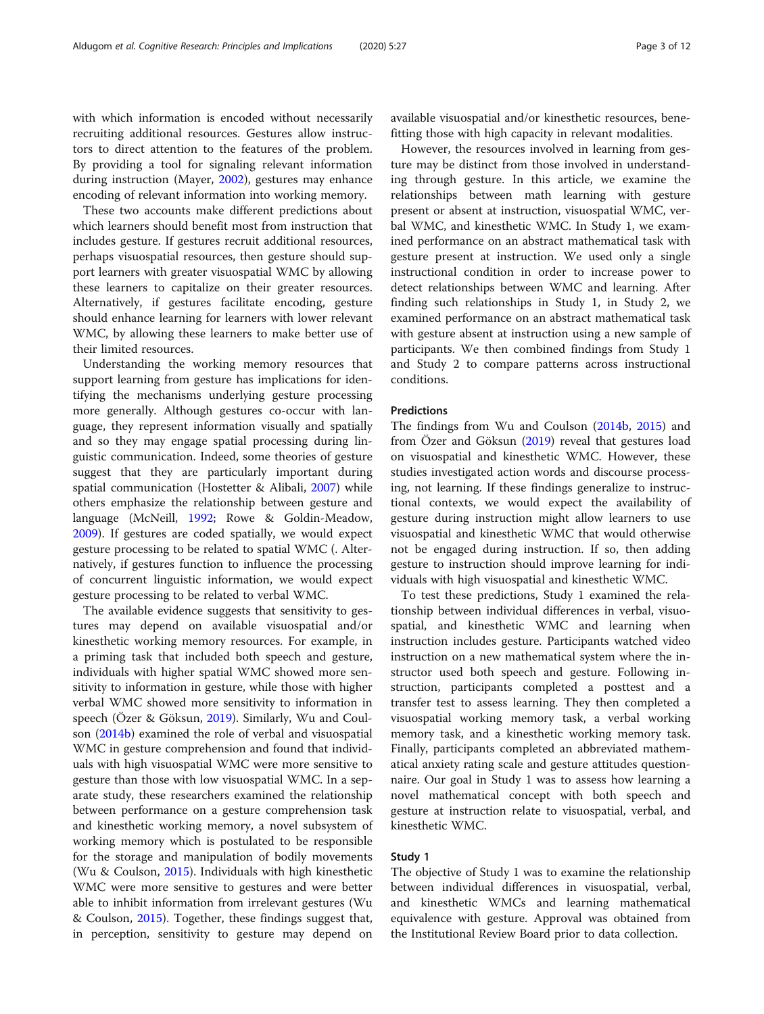with which information is encoded without necessarily recruiting additional resources. Gestures allow instructors to direct attention to the features of the problem. By providing a tool for signaling relevant information during instruction (Mayer, [2002](#page-10-0)), gestures may enhance encoding of relevant information into working memory.

These two accounts make different predictions about which learners should benefit most from instruction that includes gesture. If gestures recruit additional resources, perhaps visuospatial resources, then gesture should support learners with greater visuospatial WMC by allowing these learners to capitalize on their greater resources. Alternatively, if gestures facilitate encoding, gesture should enhance learning for learners with lower relevant WMC, by allowing these learners to make better use of their limited resources.

Understanding the working memory resources that support learning from gesture has implications for identifying the mechanisms underlying gesture processing more generally. Although gestures co-occur with language, they represent information visually and spatially and so they may engage spatial processing during linguistic communication. Indeed, some theories of gesture suggest that they are particularly important during spatial communication (Hostetter & Alibali, [2007](#page-10-0)) while others emphasize the relationship between gesture and language (McNeill, [1992](#page-10-0); Rowe & Goldin-Meadow, [2009](#page-11-0)). If gestures are coded spatially, we would expect gesture processing to be related to spatial WMC (. Alternatively, if gestures function to influence the processing of concurrent linguistic information, we would expect gesture processing to be related to verbal WMC.

The available evidence suggests that sensitivity to gestures may depend on available visuospatial and/or kinesthetic working memory resources. For example, in a priming task that included both speech and gesture, individuals with higher spatial WMC showed more sensitivity to information in gesture, while those with higher verbal WMC showed more sensitivity to information in speech (Özer & Göksun, [2019\)](#page-10-0). Similarly, Wu and Coulson [\(2014b](#page-11-0)) examined the role of verbal and visuospatial WMC in gesture comprehension and found that individuals with high visuospatial WMC were more sensitive to gesture than those with low visuospatial WMC. In a separate study, these researchers examined the relationship between performance on a gesture comprehension task and kinesthetic working memory, a novel subsystem of working memory which is postulated to be responsible for the storage and manipulation of bodily movements (Wu & Coulson, [2015\)](#page-11-0). Individuals with high kinesthetic WMC were more sensitive to gestures and were better able to inhibit information from irrelevant gestures (Wu & Coulson, [2015\)](#page-11-0). Together, these findings suggest that, in perception, sensitivity to gesture may depend on

available visuospatial and/or kinesthetic resources, benefitting those with high capacity in relevant modalities.

However, the resources involved in learning from gesture may be distinct from those involved in understanding through gesture. In this article, we examine the relationships between math learning with gesture present or absent at instruction, visuospatial WMC, verbal WMC, and kinesthetic WMC. In Study 1, we examined performance on an abstract mathematical task with gesture present at instruction. We used only a single instructional condition in order to increase power to detect relationships between WMC and learning. After finding such relationships in Study 1, in Study 2, we examined performance on an abstract mathematical task with gesture absent at instruction using a new sample of participants. We then combined findings from Study 1 and Study 2 to compare patterns across instructional conditions.

#### **Predictions**

The findings from Wu and Coulson ([2014b](#page-11-0), [2015](#page-11-0)) and from Özer and Göksun ([2019\)](#page-10-0) reveal that gestures load on visuospatial and kinesthetic WMC. However, these studies investigated action words and discourse processing, not learning. If these findings generalize to instructional contexts, we would expect the availability of gesture during instruction might allow learners to use visuospatial and kinesthetic WMC that would otherwise not be engaged during instruction. If so, then adding gesture to instruction should improve learning for individuals with high visuospatial and kinesthetic WMC.

To test these predictions, Study 1 examined the relationship between individual differences in verbal, visuospatial, and kinesthetic WMC and learning when instruction includes gesture. Participants watched video instruction on a new mathematical system where the instructor used both speech and gesture. Following instruction, participants completed a posttest and a transfer test to assess learning. They then completed a visuospatial working memory task, a verbal working memory task, and a kinesthetic working memory task. Finally, participants completed an abbreviated mathematical anxiety rating scale and gesture attitudes questionnaire. Our goal in Study 1 was to assess how learning a novel mathematical concept with both speech and gesture at instruction relate to visuospatial, verbal, and kinesthetic WMC.

## Study 1

The objective of Study 1 was to examine the relationship between individual differences in visuospatial, verbal, and kinesthetic WMCs and learning mathematical equivalence with gesture. Approval was obtained from the Institutional Review Board prior to data collection.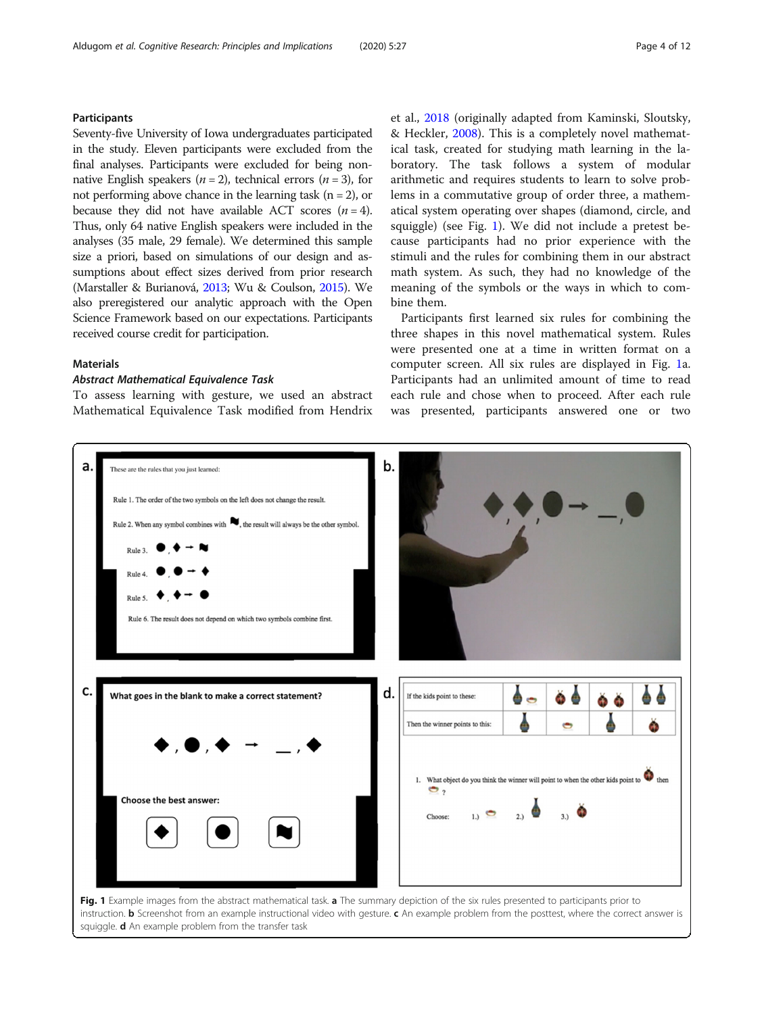# <span id="page-3-0"></span>**Participants**

Seventy-five University of Iowa undergraduates participated in the study. Eleven participants were excluded from the final analyses. Participants were excluded for being nonnative English speakers ( $n = 2$ ), technical errors ( $n = 3$ ), for not performing above chance in the learning task  $(n = 2)$ , or because they did not have available ACT scores  $(n = 4)$ . Thus, only 64 native English speakers were included in the analyses (35 male, 29 female). We determined this sample size a priori, based on simulations of our design and assumptions about effect sizes derived from prior research (Marstaller & Burianová, [2013](#page-10-0); Wu & Coulson, [2015](#page-11-0)). We also preregistered our analytic approach with the Open Science Framework based on our expectations. Participants received course credit for participation.

# Materials

# Abstract Mathematical Equivalence Task

To assess learning with gesture, we used an abstract Mathematical Equivalence Task modified from Hendrix et al., [2018](#page-10-0) (originally adapted from Kaminski, Sloutsky, & Heckler, [2008](#page-10-0)). This is a completely novel mathematical task, created for studying math learning in the laboratory. The task follows a system of modular arithmetic and requires students to learn to solve problems in a commutative group of order three, a mathematical system operating over shapes (diamond, circle, and squiggle) (see Fig. 1). We did not include a pretest because participants had no prior experience with the stimuli and the rules for combining them in our abstract math system. As such, they had no knowledge of the meaning of the symbols or the ways in which to combine them.

Participants first learned six rules for combining the three shapes in this novel mathematical system. Rules were presented one at a time in written format on a computer screen. All six rules are displayed in Fig. 1a. Participants had an unlimited amount of time to read each rule and chose when to proceed. After each rule was presented, participants answered one or two



squiggle. **d** An example problem from the transfer task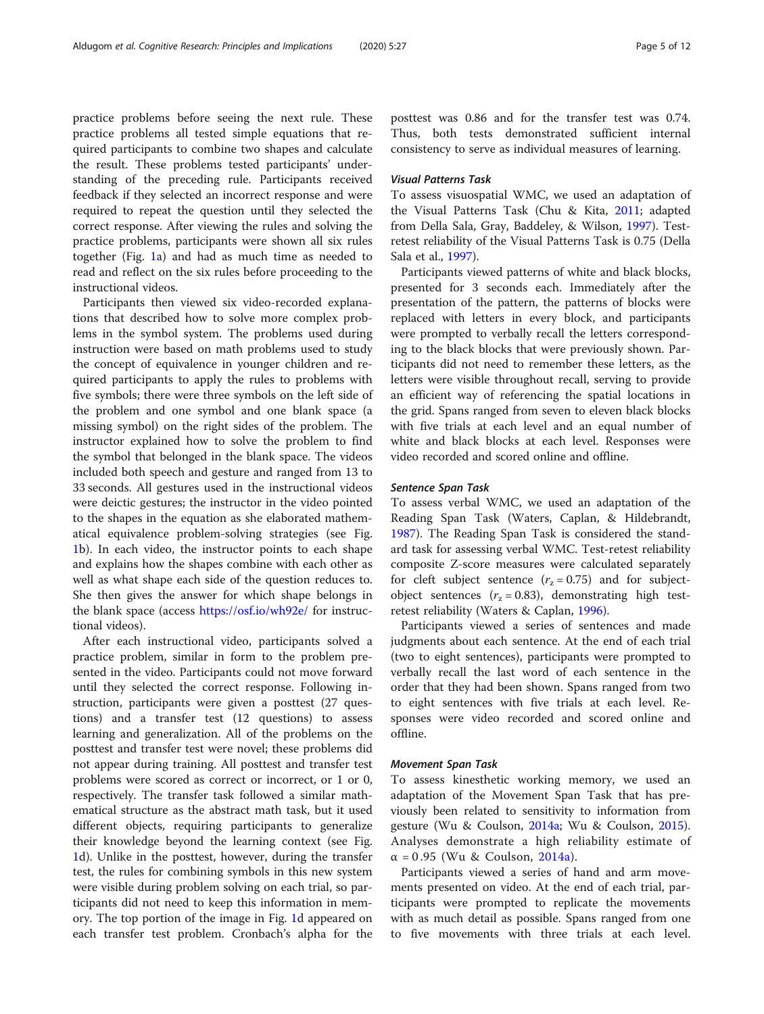practice problems before seeing the next rule. These practice problems all tested simple equations that required participants to combine two shapes and calculate the result. These problems tested participants' understanding of the preceding rule. Participants received feedback if they selected an incorrect response and were required to repeat the question until they selected the correct response. After viewing the rules and solving the practice problems, participants were shown all six rules together (Fig. [1](#page-3-0)a) and had as much time as needed to read and reflect on the six rules before proceeding to the instructional videos.

Participants then viewed six video-recorded explanations that described how to solve more complex problems in the symbol system. The problems used during instruction were based on math problems used to study the concept of equivalence in younger children and required participants to apply the rules to problems with five symbols; there were three symbols on the left side of the problem and one symbol and one blank space (a missing symbol) on the right sides of the problem. The instructor explained how to solve the problem to find the symbol that belonged in the blank space. The videos included both speech and gesture and ranged from 13 to 33 seconds. All gestures used in the instructional videos were deictic gestures; the instructor in the video pointed to the shapes in the equation as she elaborated mathematical equivalence problem-solving strategies (see Fig. [1b](#page-3-0)). In each video, the instructor points to each shape and explains how the shapes combine with each other as well as what shape each side of the question reduces to. She then gives the answer for which shape belongs in the blank space (access <https://osf.io/wh92e/> for instructional videos).

After each instructional video, participants solved a practice problem, similar in form to the problem presented in the video. Participants could not move forward until they selected the correct response. Following instruction, participants were given a posttest (27 questions) and a transfer test (12 questions) to assess learning and generalization. All of the problems on the posttest and transfer test were novel; these problems did not appear during training. All posttest and transfer test problems were scored as correct or incorrect, or 1 or 0, respectively. The transfer task followed a similar mathematical structure as the abstract math task, but it used different objects, requiring participants to generalize their knowledge beyond the learning context (see Fig. [1d](#page-3-0)). Unlike in the posttest, however, during the transfer test, the rules for combining symbols in this new system were visible during problem solving on each trial, so participants did not need to keep this information in memory. The top portion of the image in Fig. [1d](#page-3-0) appeared on each transfer test problem. Cronbach's alpha for the

posttest was 0.86 and for the transfer test was 0.74. Thus, both tests demonstrated sufficient internal consistency to serve as individual measures of learning.

# Visual Patterns Task

To assess visuospatial WMC, we used an adaptation of the Visual Patterns Task (Chu & Kita, [2011](#page-10-0); adapted from Della Sala, Gray, Baddeley, & Wilson, [1997](#page-10-0)). Testretest reliability of the Visual Patterns Task is 0.75 (Della Sala et al., [1997](#page-10-0)).

Participants viewed patterns of white and black blocks, presented for 3 seconds each. Immediately after the presentation of the pattern, the patterns of blocks were replaced with letters in every block, and participants were prompted to verbally recall the letters corresponding to the black blocks that were previously shown. Participants did not need to remember these letters, as the letters were visible throughout recall, serving to provide an efficient way of referencing the spatial locations in the grid. Spans ranged from seven to eleven black blocks with five trials at each level and an equal number of white and black blocks at each level. Responses were video recorded and scored online and offline.

#### Sentence Span Task

To assess verbal WMC, we used an adaptation of the Reading Span Task (Waters, Caplan, & Hildebrandt, [1987](#page-11-0)). The Reading Span Task is considered the standard task for assessing verbal WMC. Test-retest reliability composite Z-score measures were calculated separately for cleft subject sentence  $(r<sub>z</sub> = 0.75)$  and for subjectobject sentences ( $r<sub>z</sub> = 0.83$ ), demonstrating high testretest reliability (Waters & Caplan, [1996](#page-11-0)).

Participants viewed a series of sentences and made judgments about each sentence. At the end of each trial (two to eight sentences), participants were prompted to verbally recall the last word of each sentence in the order that they had been shown. Spans ranged from two to eight sentences with five trials at each level. Responses were video recorded and scored online and offline.

#### Movement Span Task

To assess kinesthetic working memory, we used an adaptation of the Movement Span Task that has previously been related to sensitivity to information from gesture (Wu & Coulson, [2014a](#page-11-0); Wu & Coulson, [2015](#page-11-0)). Analyses demonstrate a high reliability estimate of  $\alpha = 0.95$  (Wu & Coulson, [2014a\)](#page-11-0).

Participants viewed a series of hand and arm movements presented on video. At the end of each trial, participants were prompted to replicate the movements with as much detail as possible. Spans ranged from one to five movements with three trials at each level.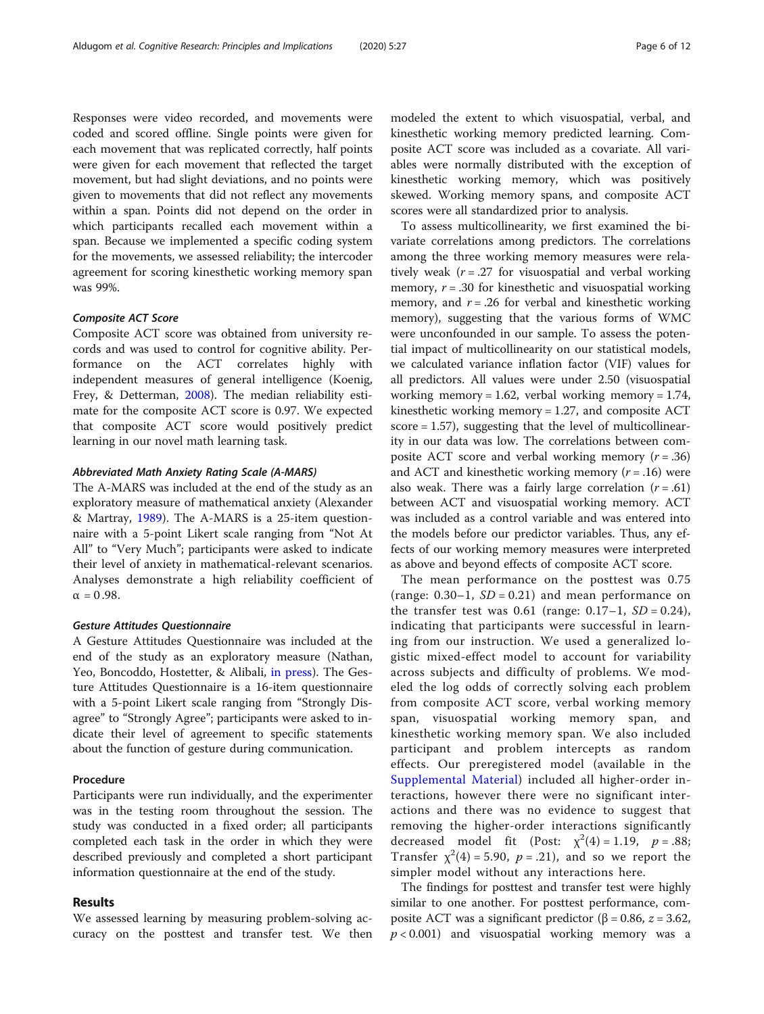Responses were video recorded, and movements were coded and scored offline. Single points were given for each movement that was replicated correctly, half points were given for each movement that reflected the target movement, but had slight deviations, and no points were given to movements that did not reflect any movements within a span. Points did not depend on the order in which participants recalled each movement within a span. Because we implemented a specific coding system for the movements, we assessed reliability; the intercoder

agreement for scoring kinesthetic working memory span

#### Composite ACT Score

was 99%.

Composite ACT score was obtained from university records and was used to control for cognitive ability. Performance on the ACT correlates highly with independent measures of general intelligence (Koenig, Frey, & Detterman, [2008\)](#page-10-0). The median reliability estimate for the composite ACT score is 0.97. We expected that composite ACT score would positively predict learning in our novel math learning task.

#### Abbreviated Math Anxiety Rating Scale (A-MARS)

The A-MARS was included at the end of the study as an exploratory measure of mathematical anxiety (Alexander & Martray, [1989](#page-10-0)). The A-MARS is a 25-item questionnaire with a 5-point Likert scale ranging from "Not At All" to "Very Much"; participants were asked to indicate their level of anxiety in mathematical-relevant scenarios. Analyses demonstrate a high reliability coefficient of  $\alpha = 0.98$ .

#### Gesture Attitudes Questionnaire

A Gesture Attitudes Questionnaire was included at the end of the study as an exploratory measure (Nathan, Yeo, Boncoddo, Hostetter, & Alibali, [in press](#page-10-0)). The Gesture Attitudes Questionnaire is a 16-item questionnaire with a 5-point Likert scale ranging from "Strongly Disagree" to "Strongly Agree"; participants were asked to indicate their level of agreement to specific statements about the function of gesture during communication.

#### Procedure

Participants were run individually, and the experimenter was in the testing room throughout the session. The study was conducted in a fixed order; all participants completed each task in the order in which they were described previously and completed a short participant information questionnaire at the end of the study.

# Results

We assessed learning by measuring problem-solving accuracy on the posttest and transfer test. We then

modeled the extent to which visuospatial, verbal, and kinesthetic working memory predicted learning. Composite ACT score was included as a covariate. All variables were normally distributed with the exception of kinesthetic working memory, which was positively skewed. Working memory spans, and composite ACT scores were all standardized prior to analysis.

To assess multicollinearity, we first examined the bivariate correlations among predictors. The correlations among the three working memory measures were relatively weak ( $r = .27$  for visuospatial and verbal working memory,  $r = .30$  for kinesthetic and visuospatial working memory, and  $r = .26$  for verbal and kinesthetic working memory), suggesting that the various forms of WMC were unconfounded in our sample. To assess the potential impact of multicollinearity on our statistical models, we calculated variance inflation factor (VIF) values for all predictors. All values were under 2.50 (visuospatial working memory = 1.62, verbal working memory = 1.74, kinesthetic working memory = 1.27, and composite ACT score = 1.57), suggesting that the level of multicollinearity in our data was low. The correlations between composite ACT score and verbal working memory  $(r = .36)$ and ACT and kinesthetic working memory  $(r = .16)$  were also weak. There was a fairly large correlation  $(r = .61)$ between ACT and visuospatial working memory. ACT was included as a control variable and was entered into the models before our predictor variables. Thus, any effects of our working memory measures were interpreted as above and beyond effects of composite ACT score.

The mean performance on the posttest was 0.75 (range:  $0.30-1$ ,  $SD = 0.21$ ) and mean performance on the transfer test was  $0.61$  (range:  $0.17-1$ ,  $SD = 0.24$ ), indicating that participants were successful in learning from our instruction. We used a generalized logistic mixed-effect model to account for variability across subjects and difficulty of problems. We modeled the log odds of correctly solving each problem from composite ACT score, verbal working memory span, visuospatial working memory span, and kinesthetic working memory span. We also included participant and problem intercepts as random effects. Our preregistered model (available in the [Supplemental Material](#page-9-0)) included all higher-order interactions, however there were no significant interactions and there was no evidence to suggest that removing the higher-order interactions significantly decreased model fit (Post:  $\chi^2(4) = 1.19$ ,  $p = .88$ ; Transfer  $\chi^2(4) = 5.90$ ,  $p = .21$ ), and so we report the simpler model without any interactions here.

The findings for posttest and transfer test were highly similar to one another. For posttest performance, composite ACT was a significant predictor (β = 0.86,  $z = 3.62$ ,  $p < 0.001$ ) and visuospatial working memory was a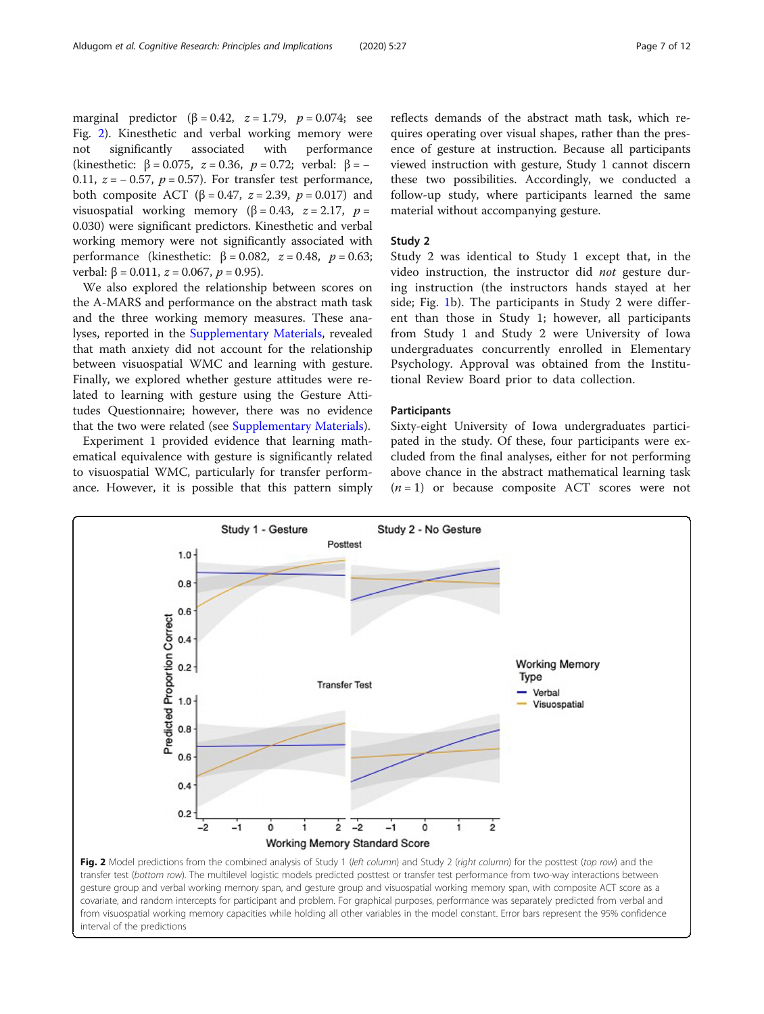<span id="page-6-0"></span>marginal predictor ( $\beta = 0.42$ ,  $z = 1.79$ ,  $p = 0.074$ ; see Fig. 2). Kinesthetic and verbal working memory were not significantly associated with performance (kinesthetic:  $\beta = 0.075$ ,  $z = 0.36$ ,  $p = 0.72$ ; verbal:  $\beta = -$ 0.11,  $z = -0.57$ ,  $p = 0.57$ ). For transfer test performance, both composite ACT (β = 0.47,  $z = 2.39$ ,  $p = 0.017$ ) and visuospatial working memory (β = 0.43,  $z = 2.17$ ,  $p =$ 0.030) were significant predictors. Kinesthetic and verbal working memory were not significantly associated with performance (kinesthetic:  $β = 0.082$ ,  $z = 0.48$ ,  $p = 0.63$ ; verbal: β = 0.011,  $z$  = 0.067,  $p$  = 0.95).

We also explored the relationship between scores on the A-MARS and performance on the abstract math task and the three working memory measures. These analyses, reported in the [Supplementary Materials](#page-9-0), revealed that math anxiety did not account for the relationship between visuospatial WMC and learning with gesture. Finally, we explored whether gesture attitudes were related to learning with gesture using the Gesture Attitudes Questionnaire; however, there was no evidence that the two were related (see [Supplementary Materials\)](#page-9-0).

Experiment 1 provided evidence that learning mathematical equivalence with gesture is significantly related to visuospatial WMC, particularly for transfer performance. However, it is possible that this pattern simply reflects demands of the abstract math task, which requires operating over visual shapes, rather than the presence of gesture at instruction. Because all participants viewed instruction with gesture, Study 1 cannot discern these two possibilities. Accordingly, we conducted a follow-up study, where participants learned the same material without accompanying gesture.

#### Study 2

Study 2 was identical to Study 1 except that, in the video instruction, the instructor did not gesture during instruction (the instructors hands stayed at her side; Fig. [1](#page-3-0)b). The participants in Study 2 were different than those in Study 1; however, all participants from Study 1 and Study 2 were University of Iowa undergraduates concurrently enrolled in Elementary Psychology. Approval was obtained from the Institutional Review Board prior to data collection.

#### **Participants**

Sixty-eight University of Iowa undergraduates participated in the study. Of these, four participants were excluded from the final analyses, either for not performing above chance in the abstract mathematical learning task  $(n = 1)$  or because composite ACT scores were not



from visuospatial working memory capacities while holding all other variables in the model constant. Error bars represent the 95% confidence interval of the predictions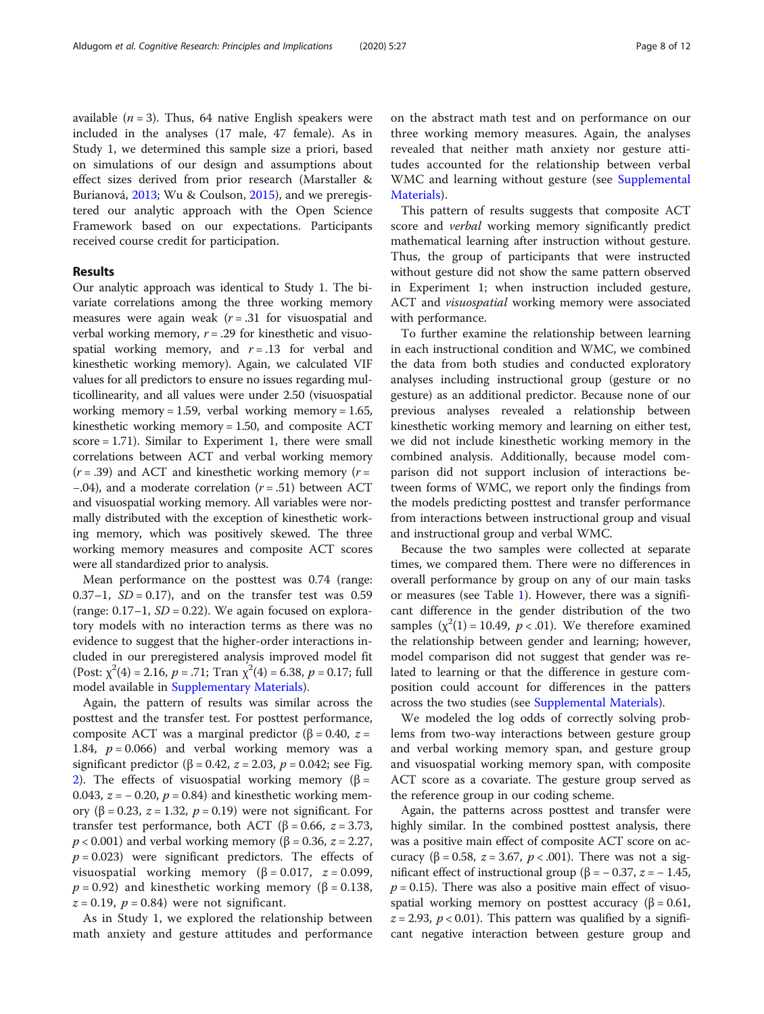available  $(n = 3)$ . Thus, 64 native English speakers were included in the analyses (17 male, 47 female). As in Study 1, we determined this sample size a priori, based on simulations of our design and assumptions about effect sizes derived from prior research (Marstaller & Burianová, [2013;](#page-10-0) Wu & Coulson, [2015](#page-11-0)), and we preregistered our analytic approach with the Open Science Framework based on our expectations. Participants received course credit for participation.

# Results

Our analytic approach was identical to Study 1. The bivariate correlations among the three working memory measures were again weak  $(r=.31)$  for visuospatial and verbal working memory,  $r = .29$  for kinesthetic and visuospatial working memory, and  $r = .13$  for verbal and kinesthetic working memory). Again, we calculated VIF values for all predictors to ensure no issues regarding multicollinearity, and all values were under 2.50 (visuospatial working memory = 1.59, verbal working memory = 1.65, kinesthetic working memory = 1.50, and composite ACT score = 1.71). Similar to Experiment 1, there were small correlations between ACT and verbal working memory  $(r = .39)$  and ACT and kinesthetic working memory  $(r = .39)$  $-0.04$ ), and a moderate correlation ( $r = .51$ ) between ACT and visuospatial working memory. All variables were normally distributed with the exception of kinesthetic working memory, which was positively skewed. The three working memory measures and composite ACT scores were all standardized prior to analysis.

Mean performance on the posttest was 0.74 (range: 0.37–1,  $SD = 0.17$ ), and on the transfer test was 0.59 (range:  $0.17-1$ ,  $SD = 0.22$ ). We again focused on exploratory models with no interaction terms as there was no evidence to suggest that the higher-order interactions included in our preregistered analysis improved model fit (Post:  $\chi^2(4) = 2.16$ ,  $p = .71$ ; Tran  $\chi^2(4) = 6.38$ ,  $p = 0.17$ ; full model available in [Supplementary Materials](#page-9-0)).

Again, the pattern of results was similar across the posttest and the transfer test. For posttest performance, composite ACT was a marginal predictor (β = 0.40,  $z =$ 1.84,  $p = 0.066$ ) and verbal working memory was a significant predictor ( $\beta$  = 0.42,  $z$  = 2.03,  $p$  = 0.042; see Fig. [2\)](#page-6-0). The effects of visuospatial working memory (β = 0.043,  $z = -0.20$ ,  $p = 0.84$ ) and kinesthetic working memory (β = 0.23,  $z = 1.32$ ,  $p = 0.19$ ) were not significant. For transfer test performance, both ACT (β = 0.66,  $z = 3.73$ ,  $p$  < 0.001) and verbal working memory (β = 0.36, *z* = 2.27,  $p = 0.023$ ) were significant predictors. The effects of visuospatial working memory ( $β = 0.017$ ,  $z = 0.099$ ,  $p = 0.92$ ) and kinesthetic working memory (β = 0.138,  $z = 0.19$ ,  $p = 0.84$ ) were not significant.

As in Study 1, we explored the relationship between math anxiety and gesture attitudes and performance on the abstract math test and on performance on our three working memory measures. Again, the analyses revealed that neither math anxiety nor gesture attitudes accounted for the relationship between verbal WMC and learning without gesture (see [Supplemental](#page-9-0) [Materials\)](#page-9-0).

This pattern of results suggests that composite ACT score and *verbal* working memory significantly predict mathematical learning after instruction without gesture. Thus, the group of participants that were instructed without gesture did not show the same pattern observed in Experiment 1; when instruction included gesture, ACT and *visuospatial* working memory were associated with performance.

To further examine the relationship between learning in each instructional condition and WMC, we combined the data from both studies and conducted exploratory analyses including instructional group (gesture or no gesture) as an additional predictor. Because none of our previous analyses revealed a relationship between kinesthetic working memory and learning on either test, we did not include kinesthetic working memory in the combined analysis. Additionally, because model comparison did not support inclusion of interactions between forms of WMC, we report only the findings from the models predicting posttest and transfer performance from interactions between instructional group and visual and instructional group and verbal WMC.

Because the two samples were collected at separate times, we compared them. There were no differences in overall performance by group on any of our main tasks or measures (see Table [1\)](#page-8-0). However, there was a significant difference in the gender distribution of the two samples  $(\chi^2(1) = 10.49, p < .01)$ . We therefore examined the relationship between gender and learning; however, model comparison did not suggest that gender was related to learning or that the difference in gesture composition could account for differences in the patters across the two studies (see [Supplemental Materials](#page-9-0)).

We modeled the log odds of correctly solving problems from two-way interactions between gesture group and verbal working memory span, and gesture group and visuospatial working memory span, with composite ACT score as a covariate. The gesture group served as the reference group in our coding scheme.

Again, the patterns across posttest and transfer were highly similar. In the combined posttest analysis, there was a positive main effect of composite ACT score on accuracy (β = 0.58,  $z = 3.67$ ,  $p < .001$ ). There was not a significant effect of instructional group (β =  $-$  0.37,  $z$  =  $-$  1.45,  $p = 0.15$ ). There was also a positive main effect of visuospatial working memory on posttest accuracy (β = 0.61,  $z = 2.93$ ,  $p < 0.01$ ). This pattern was qualified by a significant negative interaction between gesture group and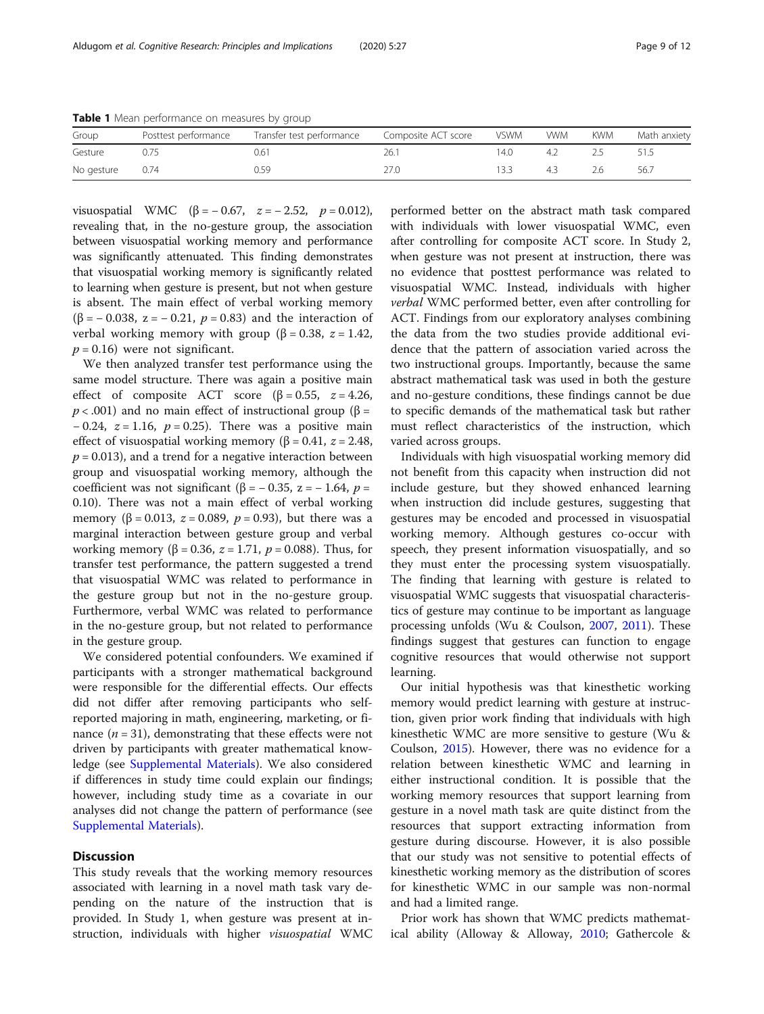<span id="page-8-0"></span>Table 1 Mean performance on measures by group

| Group      | Posttest performance | Transfer test performance | Composite ACT score | vswm | <b>WWM</b> | KWM | Math anxiety |
|------------|----------------------|---------------------------|---------------------|------|------------|-----|--------------|
| Gesture    |                      | 0.61                      | 26.1                | 14.0 |            |     |              |
| No gesture | 0.74                 | 0.59                      | 27.0                | 13.3 |            | 2.6 | 56.7         |

visuospatial WMC (β = − 0.67,  $z = -2.52$ ,  $p = 0.012$ ), revealing that, in the no-gesture group, the association between visuospatial working memory and performance was significantly attenuated. This finding demonstrates that visuospatial working memory is significantly related to learning when gesture is present, but not when gesture is absent. The main effect of verbal working memory ( $\beta$  = – 0.038, z = – 0.21,  $p$  = 0.83) and the interaction of verbal working memory with group (β = 0.38,  $z = 1.42$ ,  $p = 0.16$ ) were not significant.

We then analyzed transfer test performance using the same model structure. There was again a positive main effect of composite ACT score ( $\beta = 0.55$ ,  $z = 4.26$ ,  $p < .001$ ) and no main effect of instructional group ( $\beta =$ − 0.24,  $z = 1.16$ ,  $p = 0.25$ ). There was a positive main effect of visuospatial working memory ( $\beta$  = 0.41,  $z$  = 2.48,  $p = 0.013$ ), and a trend for a negative interaction between group and visuospatial working memory, although the coefficient was not significant (β =  $-$  0.35, z =  $-$  1.64, p = 0.10). There was not a main effect of verbal working memory ( $\beta = 0.013$ ,  $z = 0.089$ ,  $p = 0.93$ ), but there was a marginal interaction between gesture group and verbal working memory (β = 0.36,  $z = 1.71$ ,  $p = 0.088$ ). Thus, for transfer test performance, the pattern suggested a trend that visuospatial WMC was related to performance in the gesture group but not in the no-gesture group. Furthermore, verbal WMC was related to performance in the no-gesture group, but not related to performance in the gesture group.

We considered potential confounders. We examined if participants with a stronger mathematical background were responsible for the differential effects. Our effects did not differ after removing participants who selfreported majoring in math, engineering, marketing, or finance  $(n = 31)$ , demonstrating that these effects were not driven by participants with greater mathematical knowledge (see [Supplemental Materials](#page-9-0)). We also considered if differences in study time could explain our findings; however, including study time as a covariate in our analyses did not change the pattern of performance (see [Supplemental Materials\)](#page-9-0).

## **Discussion**

This study reveals that the working memory resources associated with learning in a novel math task vary depending on the nature of the instruction that is provided. In Study 1, when gesture was present at instruction, individuals with higher *visuospatial* WMC

performed better on the abstract math task compared with individuals with lower visuospatial WMC, even after controlling for composite ACT score. In Study 2, when gesture was not present at instruction, there was no evidence that posttest performance was related to visuospatial WMC. Instead, individuals with higher verbal WMC performed better, even after controlling for ACT. Findings from our exploratory analyses combining the data from the two studies provide additional evidence that the pattern of association varied across the two instructional groups. Importantly, because the same abstract mathematical task was used in both the gesture and no-gesture conditions, these findings cannot be due to specific demands of the mathematical task but rather must reflect characteristics of the instruction, which varied across groups.

Individuals with high visuospatial working memory did not benefit from this capacity when instruction did not include gesture, but they showed enhanced learning when instruction did include gestures, suggesting that gestures may be encoded and processed in visuospatial working memory. Although gestures co-occur with speech, they present information visuospatially, and so they must enter the processing system visuospatially. The finding that learning with gesture is related to visuospatial WMC suggests that visuospatial characteristics of gesture may continue to be important as language processing unfolds (Wu & Coulson, [2007](#page-11-0), [2011\)](#page-11-0). These findings suggest that gestures can function to engage cognitive resources that would otherwise not support learning.

Our initial hypothesis was that kinesthetic working memory would predict learning with gesture at instruction, given prior work finding that individuals with high kinesthetic WMC are more sensitive to gesture (Wu & Coulson, [2015\)](#page-11-0). However, there was no evidence for a relation between kinesthetic WMC and learning in either instructional condition. It is possible that the working memory resources that support learning from gesture in a novel math task are quite distinct from the resources that support extracting information from gesture during discourse. However, it is also possible that our study was not sensitive to potential effects of kinesthetic working memory as the distribution of scores for kinesthetic WMC in our sample was non-normal and had a limited range.

Prior work has shown that WMC predicts mathematical ability (Alloway & Alloway, [2010](#page-10-0); Gathercole &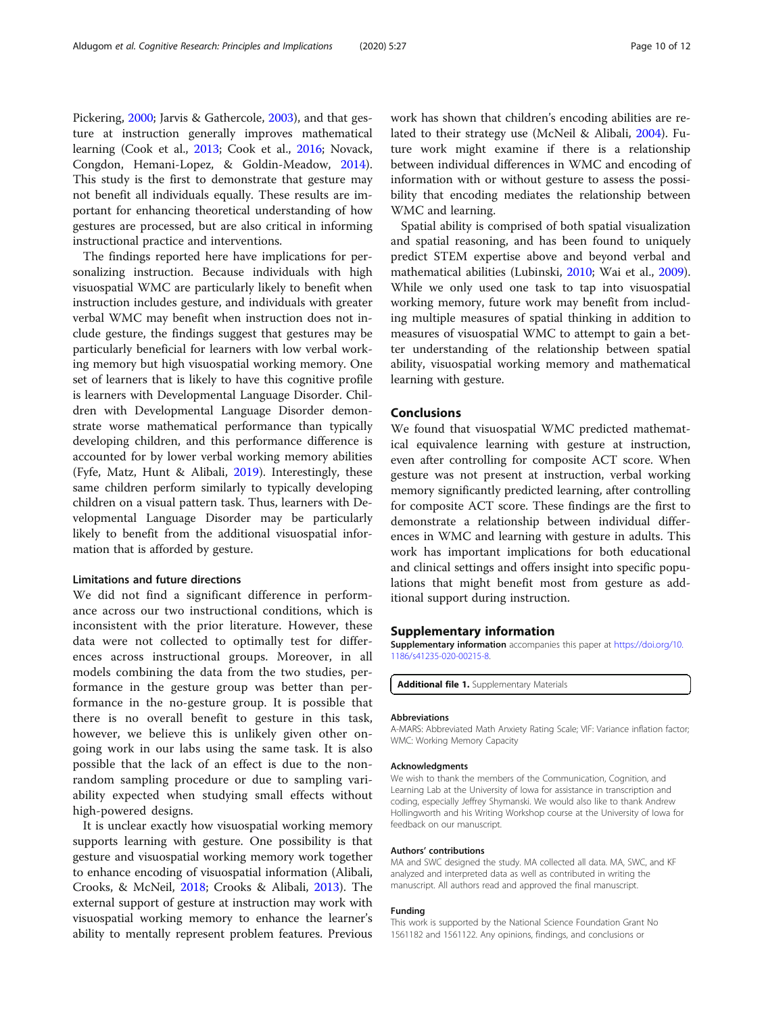<span id="page-9-0"></span>Pickering, [2000;](#page-10-0) Jarvis & Gathercole, [2003\)](#page-10-0), and that gesture at instruction generally improves mathematical learning (Cook et al., [2013;](#page-10-0) Cook et al., [2016](#page-10-0); Novack, Congdon, Hemani-Lopez, & Goldin-Meadow, [2014](#page-10-0)). This study is the first to demonstrate that gesture may not benefit all individuals equally. These results are important for enhancing theoretical understanding of how gestures are processed, but are also critical in informing instructional practice and interventions.

The findings reported here have implications for personalizing instruction. Because individuals with high visuospatial WMC are particularly likely to benefit when instruction includes gesture, and individuals with greater verbal WMC may benefit when instruction does not include gesture, the findings suggest that gestures may be particularly beneficial for learners with low verbal working memory but high visuospatial working memory. One set of learners that is likely to have this cognitive profile is learners with Developmental Language Disorder. Children with Developmental Language Disorder demonstrate worse mathematical performance than typically developing children, and this performance difference is accounted for by lower verbal working memory abilities (Fyfe, Matz, Hunt & Alibali, [2019\)](#page-10-0). Interestingly, these same children perform similarly to typically developing children on a visual pattern task. Thus, learners with Developmental Language Disorder may be particularly likely to benefit from the additional visuospatial information that is afforded by gesture.

# Limitations and future directions

We did not find a significant difference in performance across our two instructional conditions, which is inconsistent with the prior literature. However, these data were not collected to optimally test for differences across instructional groups. Moreover, in all models combining the data from the two studies, performance in the gesture group was better than performance in the no-gesture group. It is possible that there is no overall benefit to gesture in this task, however, we believe this is unlikely given other ongoing work in our labs using the same task. It is also possible that the lack of an effect is due to the nonrandom sampling procedure or due to sampling variability expected when studying small effects without high-powered designs.

It is unclear exactly how visuospatial working memory supports learning with gesture. One possibility is that gesture and visuospatial working memory work together to enhance encoding of visuospatial information (Alibali, Crooks, & McNeil, [2018](#page-10-0); Crooks & Alibali, [2013\)](#page-10-0). The external support of gesture at instruction may work with visuospatial working memory to enhance the learner's ability to mentally represent problem features. Previous

work has shown that children's encoding abilities are related to their strategy use (McNeil & Alibali, [2004\)](#page-10-0). Future work might examine if there is a relationship between individual differences in WMC and encoding of information with or without gesture to assess the possibility that encoding mediates the relationship between WMC and learning.

Spatial ability is comprised of both spatial visualization and spatial reasoning, and has been found to uniquely predict STEM expertise above and beyond verbal and mathematical abilities (Lubinski, [2010;](#page-10-0) Wai et al., [2009](#page-11-0)). While we only used one task to tap into visuospatial working memory, future work may benefit from including multiple measures of spatial thinking in addition to measures of visuospatial WMC to attempt to gain a better understanding of the relationship between spatial ability, visuospatial working memory and mathematical learning with gesture.

# Conclusions

We found that visuospatial WMC predicted mathematical equivalence learning with gesture at instruction, even after controlling for composite ACT score. When gesture was not present at instruction, verbal working memory significantly predicted learning, after controlling for composite ACT score. These findings are the first to demonstrate a relationship between individual differences in WMC and learning with gesture in adults. This work has important implications for both educational and clinical settings and offers insight into specific populations that might benefit most from gesture as additional support during instruction.

#### Supplementary information

Supplementary information accompanies this paper at [https://doi.org/10.](https://doi.org/10.1186/s41235-020-00215-8) [1186/s41235-020-00215-8](https://doi.org/10.1186/s41235-020-00215-8).

Additional file 1. Supplementary Materials

#### Abbreviations

A-MARS: Abbreviated Math Anxiety Rating Scale; VIF: Variance inflation factor; WMC: Working Memory Capacity

#### Acknowledgments

We wish to thank the members of the Communication, Cognition, and Learning Lab at the University of Iowa for assistance in transcription and coding, especially Jeffrey Shymanski. We would also like to thank Andrew Hollingworth and his Writing Workshop course at the University of Iowa for feedback on our manuscript.

#### Authors' contributions

MA and SWC designed the study. MA collected all data. MA, SWC, and KF analyzed and interpreted data as well as contributed in writing the manuscript. All authors read and approved the final manuscript.

#### Funding

This work is supported by the National Science Foundation Grant No 1561182 and 1561122. Any opinions, findings, and conclusions or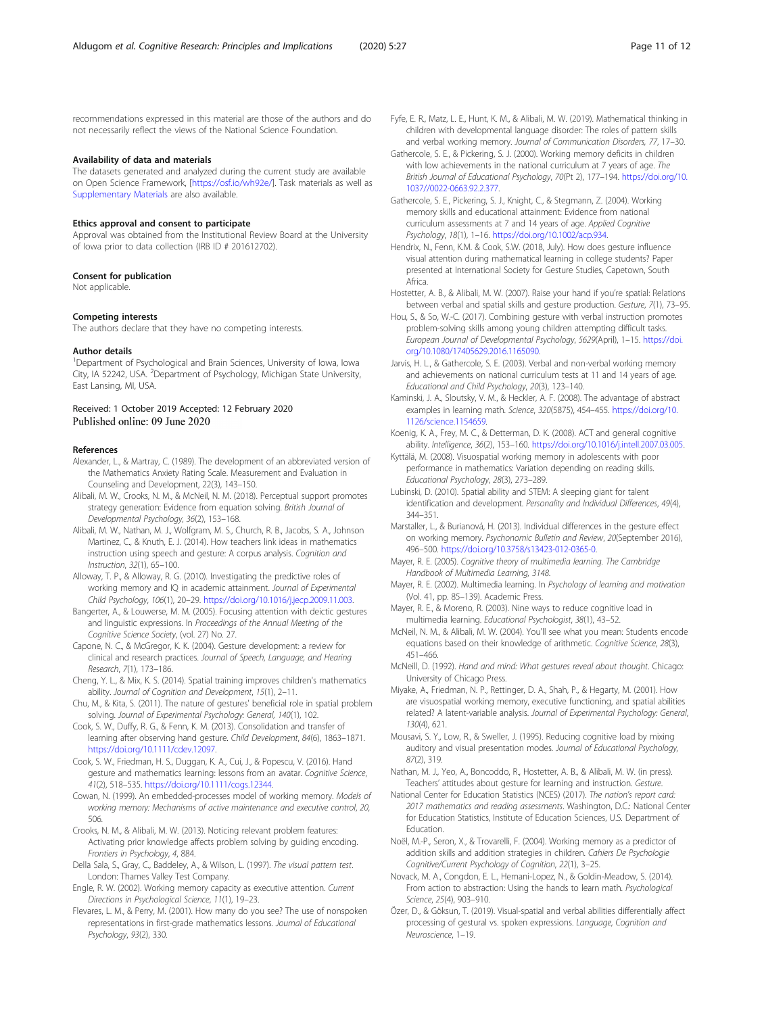<span id="page-10-0"></span>recommendations expressed in this material are those of the authors and do not necessarily reflect the views of the National Science Foundation.

#### Availability of data and materials

The datasets generated and analyzed during the current study are available on Open Science Framework, [<https://osf.io/wh92e/>]. Task materials as well as [Supplementary Materials](#page-9-0) are also available.

#### Ethics approval and consent to participate

Approval was obtained from the Institutional Review Board at the University of Iowa prior to data collection (IRB ID # 201612702).

#### Consent for publication

Not applicable.

#### Competing interests

The authors declare that they have no competing interests.

#### Author details

<sup>1</sup>Department of Psychological and Brain Sciences, University of Iowa, Iowa City, IA 52242, USA. <sup>2</sup>Department of Psychology, Michigan State University, East Lansing, MI, USA.

#### Received: 1 October 2019 Accepted: 12 February 2020 Published online: 09 June 2020

#### References

- Alexander, L., & Martray, C. (1989). The development of an abbreviated version of the Mathematics Anxiety Rating Scale. Measurement and Evaluation in Counseling and Development, 22(3), 143–150.
- Alibali, M. W., Crooks, N. M., & McNeil, N. M. (2018). Perceptual support promotes strategy generation: Evidence from equation solving. British Journal of Developmental Psychology, 36(2), 153–168.
- Alibali, M. W., Nathan, M. J., Wolfgram, M. S., Church, R. B., Jacobs, S. A., Johnson Martinez, C., & Knuth, E. J. (2014). How teachers link ideas in mathematics instruction using speech and gesture: A corpus analysis. Cognition and Instruction, 32(1), 65–100.
- Alloway, T. P., & Alloway, R. G. (2010). Investigating the predictive roles of working memory and IQ in academic attainment. Journal of Experimental Child Psychology, 106(1), 20–29. [https://doi.org/10.1016/j.jecp.2009.11.003.](https://doi.org/10.1016/j.jecp.2009.11.003)
- Bangerter, A., & Louwerse, M. M. (2005). Focusing attention with deictic gestures and linguistic expressions. In Proceedings of the Annual Meeting of the Cognitive Science Society, (vol. 27) No. 27.
- Capone, N. C., & McGregor, K. K. (2004). Gesture development: a review for clinical and research practices. Journal of Speech, Language, and Hearing Research, 7(1), 173–186.
- Cheng, Y. L., & Mix, K. S. (2014). Spatial training improves children's mathematics ability. Journal of Cognition and Development, 15(1), 2–11.
- Chu, M., & Kita, S. (2011). The nature of gestures' beneficial role in spatial problem solving. Journal of Experimental Psychology: General, 140(1), 102.
- Cook, S. W., Duffy, R. G., & Fenn, K. M. (2013). Consolidation and transfer of learning after observing hand gesture. Child Development, 84(6), 1863–1871. [https://doi.org/10.1111/cdev.12097.](https://doi.org/10.1111/cdev.12097)
- Cook, S. W., Friedman, H. S., Duggan, K. A., Cui, J., & Popescu, V. (2016). Hand gesture and mathematics learning: lessons from an avatar. Cognitive Science, 41(2), 518–535. [https://doi.org/10.1111/cogs.12344.](https://doi.org/10.1111/cogs.12344)
- Cowan, N. (1999). An embedded-processes model of working memory. Models of working memory: Mechanisms of active maintenance and executive control, 20, 506.
- Crooks, N. M., & Alibali, M. W. (2013). Noticing relevant problem features: Activating prior knowledge affects problem solving by guiding encoding. Frontiers in Psychology, 4, 884.
- Della Sala, S., Gray, C., Baddeley, A., & Wilson, L. (1997). The visual pattern test. London: Thames Valley Test Company.
- Engle, R. W. (2002). Working memory capacity as executive attention. Current Directions in Psychological Science, 11(1), 19–23.
- Flevares, L. M., & Perry, M. (2001). How many do you see? The use of nonspoken representations in first-grade mathematics lessons. Journal of Educational Psychology, 93(2), 330.
- Fyfe, E. R., Matz, L. E., Hunt, K. M., & Alibali, M. W. (2019). Mathematical thinking in children with developmental language disorder: The roles of pattern skills and verbal working memory. Journal of Communication Disorders, 77, 17–30.
- Gathercole, S. E., & Pickering, S. J. (2000). Working memory deficits in children with low achievements in the national curriculum at 7 years of age. The British Journal of Educational Psychology, 70(Pt 2), 177–194. [https://doi.org/10.](https://doi.org/10.1037//0022-0663.92.2.377) [1037//0022-0663.92.2.377.](https://doi.org/10.1037//0022-0663.92.2.377)
- Gathercole, S. E., Pickering, S. J., Knight, C., & Stegmann, Z. (2004). Working memory skills and educational attainment: Evidence from national curriculum assessments at 7 and 14 years of age. Applied Cognitive Psychology, 18(1), 1–16. [https://doi.org/10.1002/acp.934.](https://doi.org/10.1002/acp.934)
- Hendrix, N., Fenn, K.M. & Cook, S.W. (2018, July). How does gesture influence visual attention during mathematical learning in college students? Paper presented at International Society for Gesture Studies, Capetown, South Africa.
- Hostetter, A. B., & Alibali, M. W. (2007). Raise your hand if you're spatial: Relations between verbal and spatial skills and gesture production. Gesture, 7(1), 73–95.
- Hou, S., & So, W.-C. (2017). Combining gesture with verbal instruction promotes problem-solving skills among young children attempting difficult tasks. European Journal of Developmental Psychology, 5629(April), 1–15. [https://doi.](https://doi.org/10.1080/17405629.2016.1165090) [org/10.1080/17405629.2016.1165090](https://doi.org/10.1080/17405629.2016.1165090).
- Jarvis, H. L., & Gathercole, S. E. (2003). Verbal and non-verbal working memory and achievements on national curriculum tests at 11 and 14 years of age. Educational and Child Psychology, 20(3), 123–140.
- Kaminski, J. A., Sloutsky, V. M., & Heckler, A. F. (2008). The advantage of abstract examples in learning math. Science, 320(5875), 454–455. [https://doi.org/10.](https://doi.org/10.1126/science.1154659) [1126/science.1154659.](https://doi.org/10.1126/science.1154659)
- Koenig, K. A., Frey, M. C., & Detterman, D. K. (2008). ACT and general cognitive ability. Intelligence, 36(2), 153–160. [https://doi.org/10.1016/j.intell.2007.03.005.](https://doi.org/10.1016/j.intell.2007.03.005)
- Kyttälä, M. (2008). Visuospatial working memory in adolescents with poor performance in mathematics: Variation depending on reading skills. Educational Psychology, 28(3), 273–289.
- Lubinski, D. (2010). Spatial ability and STEM: A sleeping giant for talent identification and development. Personality and Individual Differences, 49(4), 344–351.
- Marstaller, L., & Burianová, H. (2013). Individual differences in the gesture effect on working memory. Psychonomic Bulletin and Review, 20(September 2016), 496–500. <https://doi.org/10.3758/s13423-012-0365-0>.
- Mayer, R. E. (2005). Cognitive theory of multimedia learning. The Cambridge Handbook of Multimedia Learning, 3148.
- Mayer, R. E. (2002). Multimedia learning. In Psychology of learning and motivation (Vol. 41, pp. 85–139). Academic Press.
- Mayer, R. E., & Moreno, R. (2003). Nine ways to reduce cognitive load in multimedia learning. Educational Psychologist, 38(1), 43–52.
- McNeil, N. M., & Alibali, M. W. (2004). You'll see what you mean: Students encode equations based on their knowledge of arithmetic. Cognitive Science, 28(3), 451–466.
- McNeill, D. (1992). Hand and mind: What gestures reveal about thought. Chicago: University of Chicago Press.
- Miyake, A., Friedman, N. P., Rettinger, D. A., Shah, P., & Hegarty, M. (2001). How are visuospatial working memory, executive functioning, and spatial abilities related? A latent-variable analysis. Journal of Experimental Psychology: General, 130(4), 621.
- Mousavi, S. Y., Low, R., & Sweller, J. (1995). Reducing cognitive load by mixing auditory and visual presentation modes. Journal of Educational Psychology, 87(2), 319.
- Nathan, M. J., Yeo, A., Boncoddo, R., Hostetter, A. B., & Alibali, M. W. (in press). Teachers' attitudes about gesture for learning and instruction. Gesture.
- National Center for Education Statistics (NCES) (2017). The nation's report card: 2017 mathematics and reading assessments. Washington, D.C.: National Center for Education Statistics, Institute of Education Sciences, U.S. Department of Education.
- Noël, M.-P., Seron, X., & Trovarelli, F. (2004). Working memory as a predictor of addition skills and addition strategies in children. Cahiers De Psychologie Cognitive/Current Psychology of Cognition, 22(1), 3–25.
- Novack, M. A., Congdon, E. L., Hemani-Lopez, N., & Goldin-Meadow, S. (2014). From action to abstraction: Using the hands to learn math. Psychological Science, 25(4), 903–910.
- Özer, D., & Göksun, T. (2019). Visual-spatial and verbal abilities differentially affect processing of gestural vs. spoken expressions. Language, Cognition and Neuroscience, 1–19.